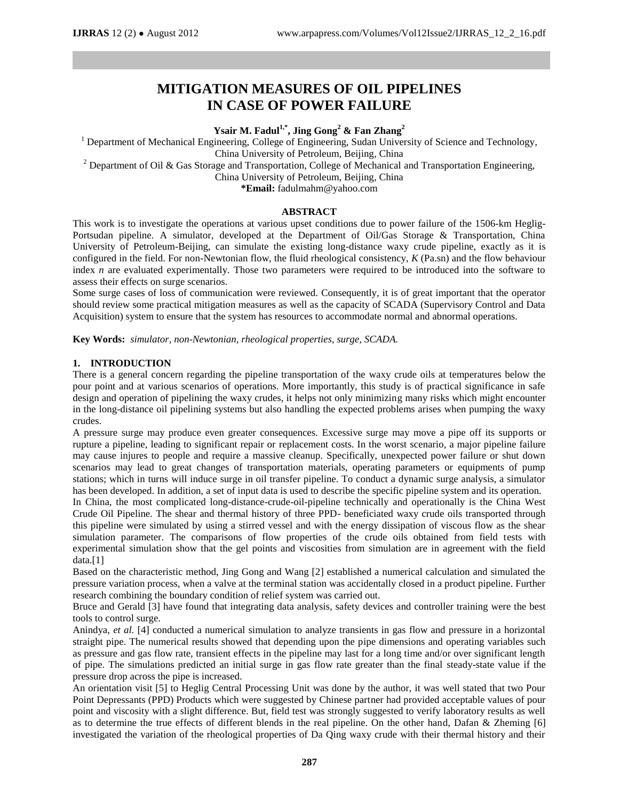# **MITIGATION MEASURES OF OIL PIPELINES IN CASE OF POWER FAILURE**

**Ysair M. Fadul1,\* , Jing Gong<sup>2</sup> & Fan Zhang<sup>2</sup>**

<sup>1</sup> Department of Mechanical Engineering, College of Engineering, Sudan University of Science and Technology,

China University of Petroleum, Beijing, China

<sup>2</sup> Department of Oil & Gas Storage and Transportation, College of Mechanical and Transportation Engineering,

China University of Petroleum, Beijing, China

**\*Email:** fadulmahm@yahoo.com

#### **ABSTRACT**

This work is to investigate the operations at various upset conditions due to power failure of the 1506-km Heglig-Portsudan pipeline. A simulator, developed at the Department of Oil/Gas Storage & Transportation, China University of Petroleum-Beijing, can simulate the existing long-distance waxy crude pipeline, exactly as it is configured in the field. For non-Newtonian flow, the fluid rheological consistency, *K* (Pa.sn) and the flow behaviour index *n* are evaluated experimentally. Those two parameters were required to be introduced into the software to assess their effects on surge scenarios.

Some surge cases of loss of communication were reviewed. Consequently, it is of great important that the operator should review some practical mitigation measures as well as the capacity of SCADA (Supervisory Control and Data Acquisition) system to ensure that the system has resources to accommodate normal and abnormal operations.

**Key Words:** *simulator, non-Newtonian, rheological properties, surge, SCADA.*

### **1. INTRODUCTION**

There is a general concern regarding the pipeline transportation of the waxy crude oils at temperatures below the pour point and at various scenarios of operations. More importantly, this study is of practical significance in safe design and operation of pipelining the waxy crudes, it helps not only minimizing many risks which might encounter in the long-distance oil pipelining systems but also handling the expected problems arises when pumping the waxy crudes.

A pressure surge may produce even greater consequences. Excessive surge may move a pipe off its supports or rupture a pipeline, leading to significant repair or replacement costs. In the worst scenario, a major pipeline failure may cause injures to people and require a massive cleanup. Specifically, unexpected power failure or shut down scenarios may lead to great changes of transportation materials, operating parameters or equipments of pump stations; which in turns will induce surge in oil transfer pipeline. To conduct a dynamic surge analysis, a simulator has been developed. In addition, a set of input data is used to describe the specific pipeline system and its operation.

In China, the most complicated long-distance-crude-oil-pipeline technically and operationally is the China West Crude Oil Pipeline. The shear and thermal history of three PPD- beneficiated waxy crude oils transported through this pipeline were simulated by using a stirred vessel and with the energy dissipation of viscous flow as the shear simulation parameter. The comparisons of flow properties of the crude oils obtained from field tests with experimental simulation show that the gel points and viscosities from simulation are in agreement with the field data.[1]

Based on the characteristic method, Jing Gong and Wang [2] established a numerical calculation and simulated the pressure variation process, when a valve at the terminal station was accidentally closed in a product pipeline. Further research combining the boundary condition of relief system was carried out.

Bruce and Gerald [3] have found that integrating data analysis, safety devices and controller training were the best tools to control surge.

Anindya, *et al.* [4] conducted a numerical simulation to analyze transients in gas flow and pressure in a horizontal straight pipe. The numerical results showed that depending upon the pipe dimensions and operating variables such as pressure and gas flow rate, transient effects in the pipeline may last for a long time and/or over significant length of pipe. The simulations predicted an initial surge in gas flow rate greater than the final steady-state value if the pressure drop across the pipe is increased.

An orientation visit [5] to Heglig Central Processing Unit was done by the author, it was well stated that two Pour Point Depressants (PPD) Products which were suggested by Chinese partner had provided acceptable values of pour point and viscosity with a slight difference. But, field test was strongly suggested to verify laboratory results as well as to determine the true effects of different blends in the real pipeline. On the other hand, Dafan & Zheming [6] investigated the variation of the rheological properties of Da Qing waxy crude with their thermal history and their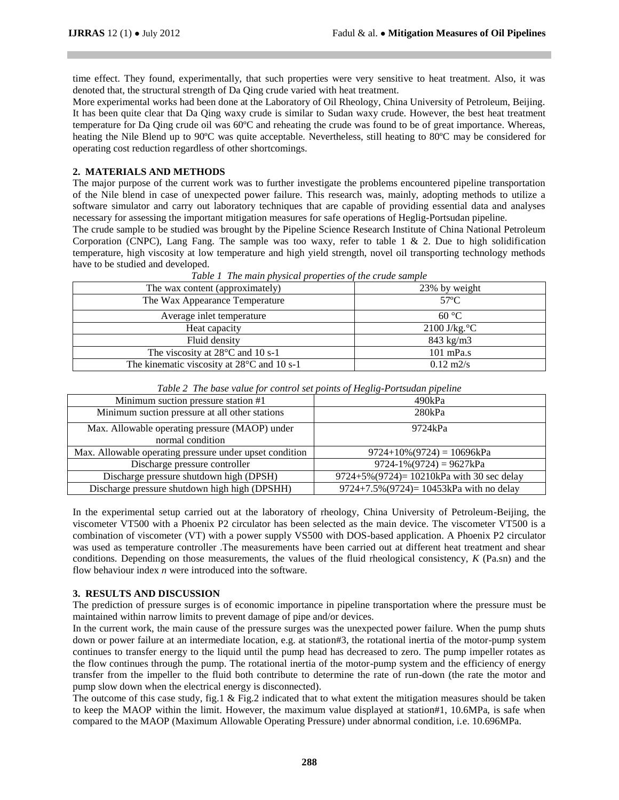time effect. They found, experimentally, that such properties were very sensitive to heat treatment. Also, it was denoted that, the structural strength of Da Qing crude varied with heat treatment.

More experimental works had been done at the Laboratory of Oil Rheology, China University of Petroleum, Beijing. It has been quite clear that Da Qing waxy crude is similar to Sudan waxy crude. However, the best heat treatment temperature for Da Qing crude oil was 60ºC and reheating the crude was found to be of great importance. Whereas, heating the Nile Blend up to 90°C was quite acceptable. Nevertheless, still heating to 80°C may be considered for operating cost reduction regardless of other shortcomings.

#### **2. MATERIALS AND METHODS**

The major purpose of the current work was to further investigate the problems encountered pipeline transportation of the Nile blend in case of unexpected power failure. This research was, mainly, adopting methods to utilize a software simulator and carry out laboratory techniques that are capable of providing essential data and analyses necessary for assessing the important mitigation measures for safe operations of Heglig-Portsudan pipeline.

The crude sample to be studied was brought by the Pipeline Science Research Institute of China National Petroleum Corporation (CNPC), Lang Fang. The sample was too waxy, refer to table 1  $\&$  2. Due to high solidification temperature, high viscosity at low temperature and high yield strength, novel oil transporting technology methods have to be studied and developed.

| The wax content (approximately)            | 23% by weight       |
|--------------------------------------------|---------------------|
| The Wax Appearance Temperature             | $57^{\circ}$ C      |
| Average inlet temperature                  | 60 °C               |
| Heat capacity                              | $2100$ J/kg. °C     |
| Fluid density                              | $843$ kg/m $3$      |
| The viscosity at $28^{\circ}$ C and 10 s-1 | $101$ mPa.s         |
| The kinematic viscosity at 28°C and 10 s-1 | $0.12 \text{ m2/s}$ |

*Table 1 The main physical properties of the crude sample*

| Table 2. The base value for control set points of Heghg-Torisman pipeline |                                             |
|---------------------------------------------------------------------------|---------------------------------------------|
| Minimum suction pressure station #1                                       | 490kPa                                      |
| Minimum suction pressure at all other stations                            | 280kPa                                      |
| Max. Allowable operating pressure (MAOP) under                            | 9724kPa                                     |
| normal condition                                                          |                                             |
| Max. Allowable operating pressure under upset condition                   | $9724+10\% (9724) = 10696kPa$               |
| Discharge pressure controller                                             | $9724-1\% (9724) = 9627kPa$                 |
| Discharge pressure shutdown high (DPSH)                                   | $9724+5\%(9724)=10210kPa$ with 30 sec delay |
| Discharge pressure shutdown high high (DPSHH)                             | $9724+7.5\%(9724)=10453kPa$ with no delay   |

*Table 2 The base value for control set points of Heglig-Portsudan pipeline*

In the experimental setup carried out at the laboratory of rheology, China University of Petroleum-Beijing, the viscometer VT500 with a Phoenix P2 circulator has been selected as the main device. The viscometer VT500 is a combination of viscometer (VT) with a power supply VS500 with DOS-based application. A Phoenix P2 circulator was used as temperature controller .The measurements have been carried out at different heat treatment and shear conditions. Depending on those measurements, the values of the fluid rheological consistency, *K* (Pa.sn) and the flow behaviour index *n* were introduced into the software.

#### **3. RESULTS AND DISCUSSION**

The prediction of pressure surges is of economic importance in pipeline transportation where the pressure must be maintained within narrow limits to prevent damage of pipe and/or devices.

In the current work, the main cause of the pressure surges was the unexpected power failure. When the pump shuts down or power failure at an intermediate location, e.g. at station#3, the rotational inertia of the motor-pump system continues to transfer energy to the liquid until the pump head has decreased to zero. The pump impeller rotates as the flow continues through the pump. The rotational inertia of the motor-pump system and the efficiency of energy transfer from the impeller to the fluid both contribute to determine the rate of run-down (the rate the motor and pump slow down when the electrical energy is disconnected).

The outcome of this case study, fig.1  $\&$  Fig.2 indicated that to what extent the mitigation measures should be taken to keep the MAOP within the limit. However, the maximum value displayed at station#1, 10.6MPa, is safe when compared to the MAOP (Maximum Allowable Operating Pressure) under abnormal condition, i.e. 10.696MPa.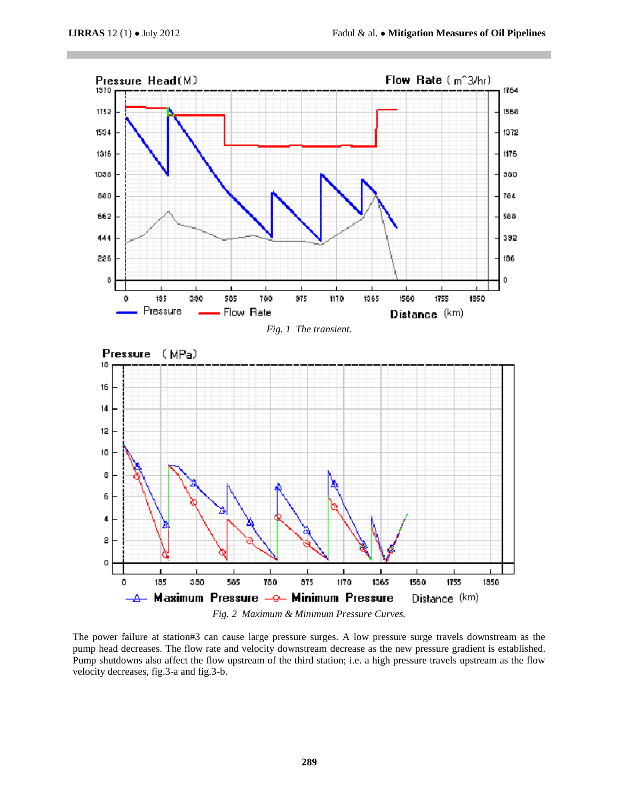

The power failure at station#3 can cause large pressure surges. A low pressure surge travels downstream as the pump head decreases. The flow rate and velocity downstream decrease as the new pressure gradient is established. Pump shutdowns also affect the flow upstream of the third station; i.e. a high pressure travels upstream as the flow velocity decreases, fig.3-a and fig.3-b.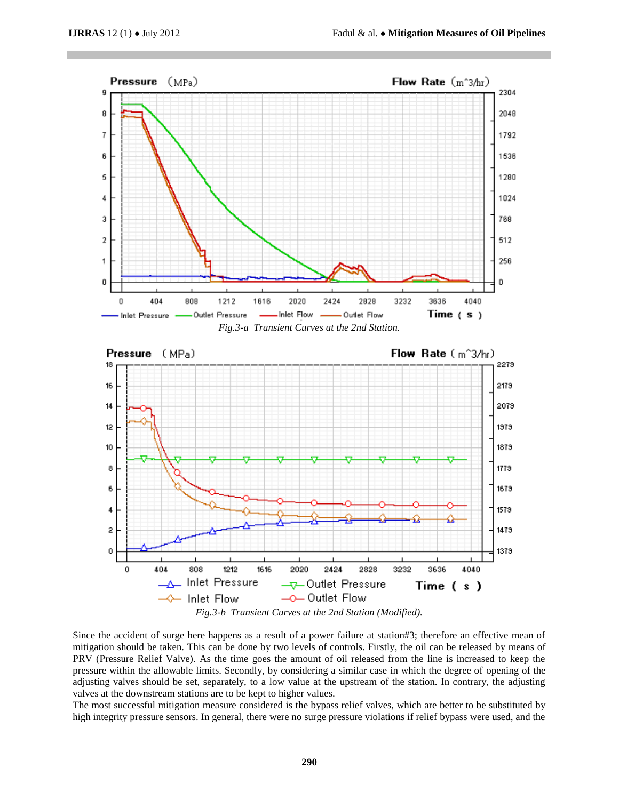

Since the accident of surge here happens as a result of a power failure at station#3; therefore an effective mean of mitigation should be taken. This can be done by two levels of controls. Firstly, the oil can be released by means of PRV (Pressure Relief Valve). As the time goes the amount of oil released from the line is increased to keep the pressure within the allowable limits. Secondly, by considering a similar case in which the degree of opening of the adjusting valves should be set, separately, to a low value at the upstream of the station. In contrary, the adjusting valves at the downstream stations are to be kept to higher values.

The most successful mitigation measure considered is the bypass relief valves, which are better to be substituted by high integrity pressure sensors. In general, there were no surge pressure violations if relief bypass were used, and the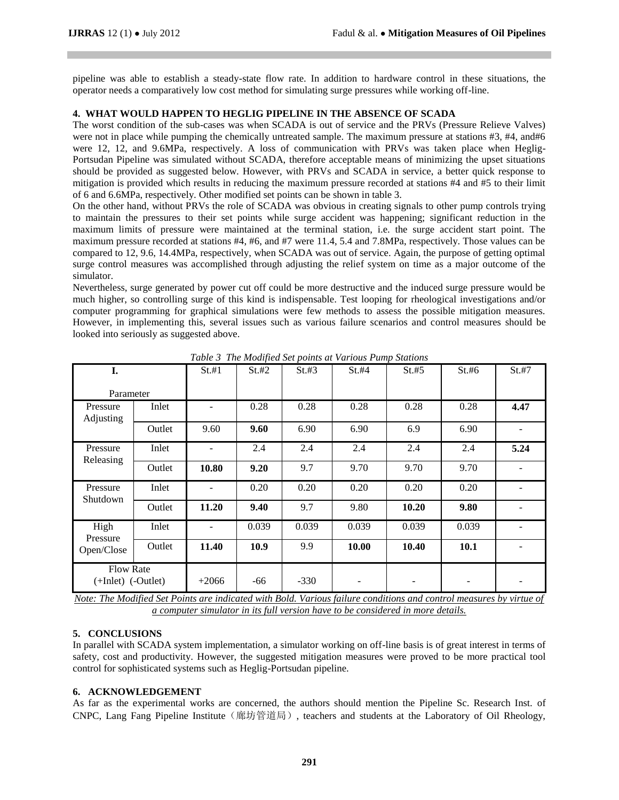pipeline was able to establish a steady-state flow rate. In addition to hardware control in these situations, the operator needs a comparatively low cost method for simulating surge pressures while working off-line.

# **4. WHAT WOULD HAPPEN TO HEGLIG PIPELINE IN THE ABSENCE OF SCADA**

The worst condition of the sub-cases was when SCADA is out of service and the PRVs (Pressure Relieve Valves) were not in place while pumping the chemically untreated sample. The maximum pressure at stations #3, #4, and#6 were 12, 12, and 9.6MPa, respectively. A loss of communication with PRVs was taken place when Heglig-Portsudan Pipeline was simulated without SCADA, therefore acceptable means of minimizing the upset situations should be provided as suggested below. However, with PRVs and SCADA in service, a better quick response to mitigation is provided which results in reducing the maximum pressure recorded at stations #4 and #5 to their limit of 6 and 6.6MPa, respectively. Other modified set points can be shown in table 3.

On the other hand, without PRVs the role of SCADA was obvious in creating signals to other pump controls trying to maintain the pressures to their set points while surge accident was happening; significant reduction in the maximum limits of pressure were maintained at the terminal station, i.e. the surge accident start point. The maximum pressure recorded at stations #4, #6, and #7 were 11.4, 5.4 and 7.8MPa, respectively. Those values can be compared to 12, 9.6, 14.4MPa, respectively, when SCADA was out of service. Again, the purpose of getting optimal surge control measures was accomplished through adjusting the relief system on time as a major outcome of the simulator.

Nevertheless, surge generated by power cut off could be more destructive and the induced surge pressure would be much higher, so controlling surge of this kind is indispensable. Test looping for rheological investigations and/or computer programming for graphical simulations were few methods to assess the possible mitigation measures. However, in implementing this, several issues such as various failure scenarios and control measures should be looked into seriously as suggested above.

| I.                                     |        | $St.+1$ | St.#2 | $St. \#3$ | St.#4 | St.#5 | St.#6       | St. #7 |
|----------------------------------------|--------|---------|-------|-----------|-------|-------|-------------|--------|
| Parameter                              |        |         |       |           |       |       |             |        |
| Pressure<br>Adjusting                  | Inlet  |         | 0.28  | 0.28      | 0.28  | 0.28  | 0.28        | 4.47   |
|                                        | Outlet | 9.60    | 9.60  | 6.90      | 6.90  | 6.9   | 6.90        |        |
| Pressure                               | Inlet  |         | 2.4   | 2.4       | 2.4   | 2.4   | 2.4         | 5.24   |
| Releasing                              | Outlet | 10.80   | 9.20  | 9.7       | 9.70  | 9.70  | 9.70        |        |
| Pressure<br>Shutdown                   | Inlet  |         | 0.20  | 0.20      | 0.20  | 0.20  | 0.20        |        |
|                                        | Outlet | 11.20   | 9.40  | 9.7       | 9.80  | 10.20 | 9.80        |        |
| High<br>Pressure                       | Inlet  | -       | 0.039 | 0.039     | 0.039 | 0.039 | 0.039       |        |
| Open/Close                             | Outlet | 11.40   | 10.9  | 9.9       | 10.00 | 10.40 | <b>10.1</b> |        |
| <b>Flow Rate</b><br>(+Inlet) (-Outlet) |        | $+2066$ | -66   | $-330$    |       |       | ۰           |        |

*Table 3 The Modified Set points at Various Pump Stations*

*Note: The Modified Set Points are indicated with Bold. Various failure conditions and control measures by virtue of a computer simulator in its full version have to be considered in more details.*

### **5. CONCLUSIONS**

In parallel with SCADA system implementation, a simulator working on off-line basis is of great interest in terms of safety, cost and productivity. However, the suggested mitigation measures were proved to be more practical tool control for sophisticated systems such as Heglig-Portsudan pipeline.

### **6. ACKNOWLEDGEMENT**

As far as the experimental works are concerned, the authors should mention the Pipeline Sc. Research Inst. of CNPC, Lang Fang Pipeline Institute (廊坊管道局), teachers and students at the Laboratory of Oil Rheology,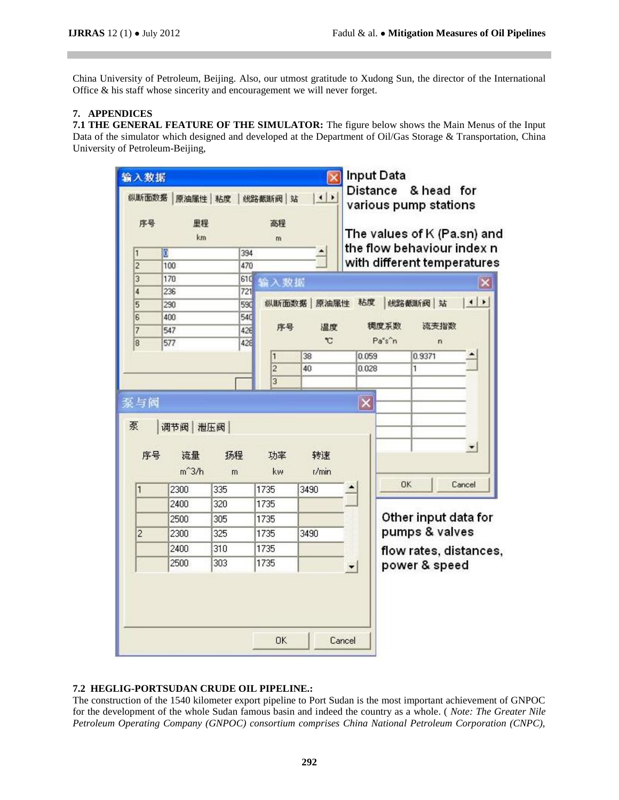China University of Petroleum, Beijing. Also, our utmost gratitude to Xudong Sun, the director of the International Office & his staff whose sincerity and encouragement we will never forget.

# **7. APPENDICES**

**7.1 THE GENERAL FEATURE OF THE SIMULATOR:** The figure below shows the Main Menus of the Input Data of the simulator which designed and developed at the Department of Oil/Gas Storage & Transportation, China University of Petroleum-Beijing,

| 序号             | 里程<br>km      |            | 高程<br>m        |               |              |        | various pump stations<br>The values of K (Pa.sn) and |                        |
|----------------|---------------|------------|----------------|---------------|--------------|--------|------------------------------------------------------|------------------------|
| 1              | ō             | 394        |                |               |              |        | the flow behaviour index n                           |                        |
| $\overline{c}$ | 100           | 470        |                |               |              |        | with different temperatures                          |                        |
| 3              | 170           | 61C        | 输入数据           |               |              |        |                                                      |                        |
| 4              | 236           | 721        |                |               |              |        |                                                      |                        |
| 5              | 290           | 590        |                | 纵断面数据 原油属性    | 粘度           |        | 线路截断阀 站                                              | $\left  \cdot \right $ |
| 6              | 400           | 540        | 序号             | 温度            |              | 稠度系数   | 流变指数                                                 |                        |
| 7              | 547<br>577    | 426<br>428 |                | $\mathbbm{C}$ |              | Pa's'n | $\overline{ }$                                       |                        |
| 8              |               |            | n              | 38            | 0.059        |        | 0.9371                                               |                        |
|                |               |            | $\overline{2}$ | 40            | 0.028        |        | 1                                                    |                        |
|                |               |            | 3              |               |              |        |                                                      |                        |
| 泵与阀<br>泵       | 调节阀   泄压阀     |            |                |               | $\mathbf{x}$ |        |                                                      |                        |
| 序号             | 流量<br>$m^3/h$ | 扬程<br>m    | 功率<br>kw       | 转速<br>t/min   |              |        |                                                      |                        |
|                |               |            |                | 3490          |              | OK     |                                                      | Cancel                 |
| 1              | 2300<br>2400  | 335<br>320 | 1735<br>1735   |               |              |        |                                                      |                        |
|                |               |            |                |               |              |        |                                                      |                        |
|                | 2500          | 305        | 1735           | 3490          |              |        | Other input data for                                 |                        |
| $\overline{c}$ | 2300          | 325        | 1735           |               |              |        | pumps & valves                                       |                        |
|                | 2400          | 310        | 1735           |               |              |        | flow rates, distances,                               |                        |
|                | 2500          | 303        | 1735           |               |              |        | power & speed                                        |                        |

# **7.2 HEGLIG-PORTSUDAN CRUDE OIL PIPELINE.:**

The construction of the 1540 kilometer export pipeline to Port Sudan is the most important achievement of GNPOC for the development of the whole Sudan famous basin and indeed the country as a whole. ( *Note: The Greater Nile Petroleum Operating Company (GNPOC) consortium comprises China National Petroleum Corporation (CNPC),*